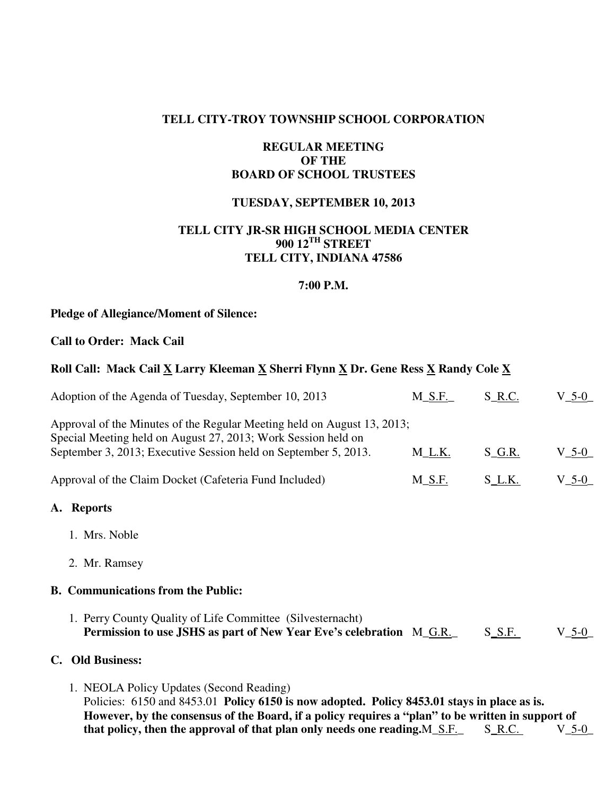### **TELL CITY-TROY TOWNSHIP SCHOOL CORPORATION**

## **REGULAR MEETING OF THE BOARD OF SCHOOL TRUSTEES**

## **TUESDAY, SEPTEMBER 10, 2013**

## **TELL CITY JR-SR HIGH SCHOOL MEDIA CENTER 900 12TH STREET TELL CITY, INDIANA 47586**

#### **7:00 P.M.**

#### **Pledge of Allegiance/Moment of Silence:**

#### **Call to Order: Mack Cail**

## **Roll Call: Mack Cail X Larry Kleeman X Sherri Flynn X Dr. Gene Ress X Randy Cole X**

| Adoption of the Agenda of Tuesday, September 10, 2013                                                                                                                                                                                        | $M\_S.F.$ | S_R.C.   | $V_{-5-0}$         |
|----------------------------------------------------------------------------------------------------------------------------------------------------------------------------------------------------------------------------------------------|-----------|----------|--------------------|
| Approval of the Minutes of the Regular Meeting held on August 13, 2013;<br>Special Meeting held on August 27, 2013; Work Session held on                                                                                                     |           |          |                    |
| September 3, 2013; Executive Session held on September 5, 2013.                                                                                                                                                                              | $M_L.K.$  | $S_G.R.$ | $V_{-5-0}$         |
| Approval of the Claim Docket (Cafeteria Fund Included)                                                                                                                                                                                       | M_S.F.    | $S_L$ K. | $V_5-0$            |
| A. Reports                                                                                                                                                                                                                                   |           |          |                    |
| 1. Mrs. Noble                                                                                                                                                                                                                                |           |          |                    |
| 2. Mr. Ramsey                                                                                                                                                                                                                                |           |          |                    |
| <b>B.</b> Communications from the Public:                                                                                                                                                                                                    |           |          |                    |
| 1. Perry County Quality of Life Committee (Silvesternacht)<br>Permission to use JSHS as part of New Year Eve's celebration M_G.R.                                                                                                            |           | $S_S.F.$ | $V_{-}$ 5-0 $_{-}$ |
| <b>Old Business:</b><br>$\mathbf{C}$ .                                                                                                                                                                                                       |           |          |                    |
| 1. NEOLA Policy Updates (Second Reading)<br>Policies: 6150 and 8453.01 Policy 6150 is now adopted. Policy 8453.01 stays in place as is.<br>However, by the consensus of the Board, if a policy requires a "plan" to be written in support of |           |          |                    |

that policy, then the approval of that plan only needs one reading.M\_S.F. S\_R.C. V\_5-0\_